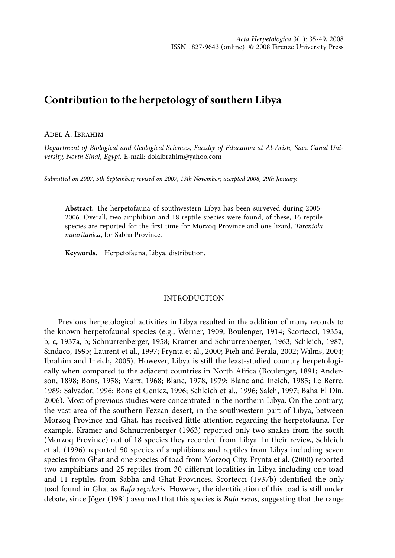# **Contribution to the herpetology of southern Libya**

## Adel A. Ibrahim

*Department of Biological and Geological Sciences, Faculty of Education at Al-Arish, Suez Canal University, North Sinai, Egypt.* E-mail: dolaibrahim@yahoo.com

*Submitted on 2007, 5th September; revised on 2007, 13th November; accepted 2008, 29th January.*

**Abstract.** The herpetofauna of southwestern Libya has been surveyed during 2005- 2006. Overall, two amphibian and 18 reptile species were found; of these, 16 reptile species are reported for the first time for Morzoq Province and one lizard, *Tarentola mauritanica*, for Sabha Province.

**Keywords.** Herpetofauna, Libya, distribution.

# **INTRODUCTION**

Previous herpetological activities in Libya resulted in the addition of many records to the known herpetofaunal species (e.g., Werner, 1909; Boulenger, 1914; Scortecci, 1935a, b, c, 1937a, b; Schnurrenberger, 1958; Kramer and Schnurrenberger, 1963; Schleich, 1987; Sindaco, 1995; Laurent et al., 1997; Frynta et al., 2000; Pieh and Perälä, 2002; Wilms, 2004; Ibrahim and Ineich, 2005). However, Libya is still the least-studied country herpetologically when compared to the adjacent countries in North Africa (Boulenger, 1891; Anderson, 1898; Bons, 1958; Marx, 1968; Blanc, 1978, 1979; Blanc and Ineich, 1985; Le Berre, 1989; Salvador, 1996; Bons et Geniez, 1996; Schleich et al., 1996; Saleh, 1997; Baha El Din, 2006). Most of previous studies were concentrated in the northern Libya. On the contrary, the vast area of the southern Fezzan desert, in the southwestern part of Libya, between Morzoq Province and Ghat, has received little attention regarding the herpetofauna. For example, Kramer and Schnurrenberger (1963) reported only two snakes from the south (Morzoq Province) out of 18 species they recorded from Libya. In their review, Schleich et al. (1996) reported 50 species of amphibians and reptiles from Libya including seven species from Ghat and one species of toad from Morzoq City. Frynta et al. (2000) reported two amphibians and 25 reptiles from 30 different localities in Libya including one toad and 11 reptiles from Sabha and Ghat Provinces. Scortecci (1937b) identified the only toad found in Ghat as *Bufo regularis*. However, the identification of this toad is still under debate, since Jöger (1981) assumed that this species is *Bufo xeros*, suggesting that the range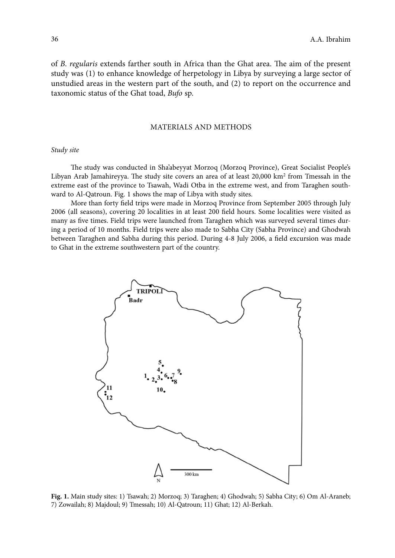of *B*. *regularis* extends farther south in Africa than the Ghat area. The aim of the present study was (1) to enhance knowledge of herpetology in Libya by surveying a large sector of unstudied areas in the western part of the south, and (2) to report on the occurrence and taxonomic status of the Ghat toad, *Bufo* sp.

## Materials and Methods

## *Study site*

The study was conducted in Sha'abeyyat Morzoq (Morzoq Province), Great Socialist People's Libyan Arab Jamahireyya. The study site covers an area of at least 20,000 km2 from Tmessah in the extreme east of the province to Tsawah, Wadi Otba in the extreme west, and from Taraghen southward to Al-Qatroun. Fig. 1 shows the map of Libya with study sites.

More than forty field trips were made in Morzoq Province from September 2005 through July 2006 (all seasons), covering 20 localities in at least 200 field hours. Some localities were visited as many as five times. Field trips were launched from Taraghen which was surveyed several times during a period of 10 months. Field trips were also made to Sabha City (Sabha Province) and Ghodwah between Taraghen and Sabha during this period. During 4-8 July 2006, a field excursion was made to Ghat in the extreme southwestern part of the country.



**Fig. 1.** Main study sites: 1) Tsawah; 2) Morzoq; 3) Taraghen; 4) Ghodwah; 5) Sabha City; 6) Om Al-Araneb; 7) Zowailah; 8) Majdoul; 9) Tmessah; 10) Al-Qatroun; 11) Ghat; 12) Al-Berkah.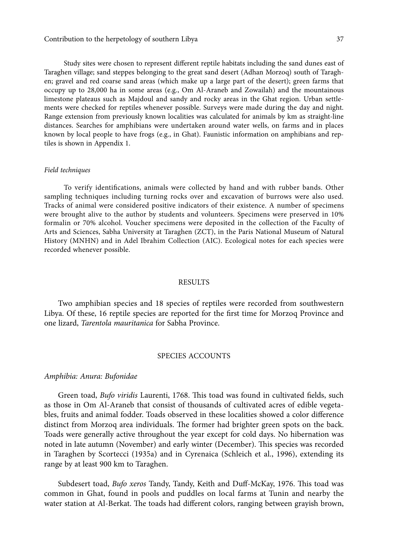Study sites were chosen to represent different reptile habitats including the sand dunes east of Taraghen village; sand steppes belonging to the great sand desert (Adhan Morzoq) south of Taraghen; gravel and red coarse sand areas (which make up a large part of the desert); green farms that occupy up to 28,000 ha in some areas (e.g., Om Al-Araneb and Zowailah) and the mountainous limestone plateaus such as Majdoul and sandy and rocky areas in the Ghat region. Urban settlements were checked for reptiles whenever possible. Surveys were made during the day and night. Range extension from previously known localities was calculated for animals by km as straight-line distances. Searches for amphibians were undertaken around water wells, on farms and in places known by local people to have frogs (e.g., in Ghat). Faunistic information on amphibians and reptiles is shown in Appendix 1.

#### *Field techniques*

To verify identifications, animals were collected by hand and with rubber bands. Other sampling techniques including turning rocks over and excavation of burrows were also used. Tracks of animal were considered positive indicators of their existence. A number of specimens were brought alive to the author by students and volunteers. Specimens were preserved in 10% formalin or 70% alcohol. Voucher specimens were deposited in the collection of the Faculty of Arts and Sciences, Sabha University at Taraghen (ZCT), in the Paris National Museum of Natural History (MNHN) and in Adel Ibrahim Collection (AIC). Ecological notes for each species were recorded whenever possible.

# **RESULTS**

Two amphibian species and 18 species of reptiles were recorded from southwestern Libya. Of these, 16 reptile species are reported for the first time for Morzoq Province and one lizard, *Tarentola mauritanica* for Sabha Province.

## SPECIES ACCOUNTS

# *Amphibia: Anura: Bufonidae*

Green toad, *Bufo viridis* Laurenti, 1768. This toad was found in cultivated fields, such as those in Om Al-Araneb that consist of thousands of cultivated acres of edible vegetables, fruits and animal fodder. Toads observed in these localities showed a color difference distinct from Morzoq area individuals. The former had brighter green spots on the back. Toads were generally active throughout the year except for cold days. No hibernation was noted in late autumn (November) and early winter (December). This species was recorded in Taraghen by Scortecci (1935a) and in Cyrenaica (Schleich et al., 1996), extending its range by at least 900 km to Taraghen.

Subdesert toad, *Bufo xeros* Tandy, Tandy, Keith and Duff-McKay, 1976. This toad was common in Ghat, found in pools and puddles on local farms at Tunin and nearby the water station at Al-Berkat. The toads had different colors, ranging between grayish brown,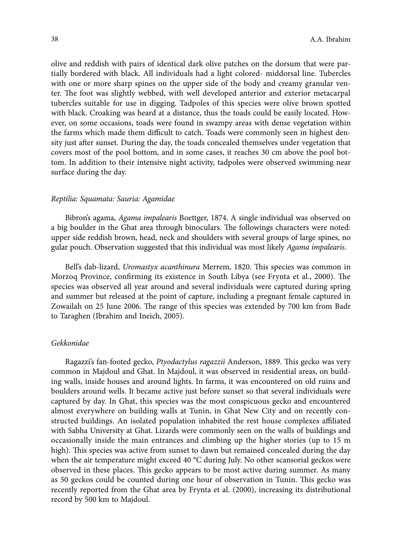olive and reddish with pairs of identical dark olive patches on the dorsum that were partially bordered with black. All individuals had a light colored- middorsal line. Tubercles with one or more sharp spines on the upper side of the body and creamy granular venter. The foot was slightly webbed, with well developed anterior and exterior metacarpal tubercles suitable for use in digging. Tadpoles of this species were olive brown spotted with black. Croaking was heard at a distance, thus the toads could be easily located. However, on some occasions, toads were found in swampy areas with dense vegetation within the farms which made them difficult to catch. Toads were commonly seen in highest density just after sunset. During the day, the toads concealed themselves under vegetation that covers most of the pool bottom, and in some cases, it reaches 30 cm above the pool bottom. In addition to their intensive night activity, tadpoles were observed swimming near surface during the day.

#### *Reptilia: Squamata: Sauria: Agamidae*

Bibron's agama, *Agama impalearis* Boettger, 1874. A single individual was observed on a big boulder in the Ghat area through binoculars. The followings characters were noted: upper side reddish brown, head, neck and shoulders with several groups of large spines, no gular pouch. Observation suggested that this individual was most likely *Agama impalearis*.

Bell's dab-lizard, *Uromastyx acanthinura* Merrem, 1820. This species was common in Morzoq Province, confirming its existence in South Libya (see Frynta et al., 2000). The species was observed all year around and several individuals were captured during spring and summer but released at the point of capture, including a pregnant female captured in Zowailah on 25 June 2006. The range of this species was extended by 700 km from Badr to Taraghen (Ibrahim and Ineich, 2005).

## *Gekkonidae*

Ragazzi's fan-footed gecko, *Ptyodactylus ragazzii* Anderson, 1889. This gecko was very common in Majdoul and Ghat. In Majdoul, it was observed in residential areas, on building walls, inside houses and around lights. In farms, it was encountered on old ruins and boulders around wells. It became active just before sunset so that several individuals were captured by day. In Ghat, this species was the most conspicuous gecko and encountered almost everywhere on building walls at Tunin, in Ghat New City and on recently constructed buildings. An isolated population inhabited the rest house complexes affiliated with Sabha University at Ghat. Lizards were commonly seen on the walls of buildings and occasionally inside the main entrances and climbing up the higher stories (up to 15 m high). This species was active from sunset to dawn but remained concealed during the day when the air temperature might exceed 40 °C during July. No other scansorial geckos were observed in these places. This gecko appears to be most active during summer. As many as 50 geckos could be counted during one hour of observation in Tunin. This gecko was recently reported from the Ghat area by Frynta et al. (2000), increasing its distributional record by 500 km to Majdoul.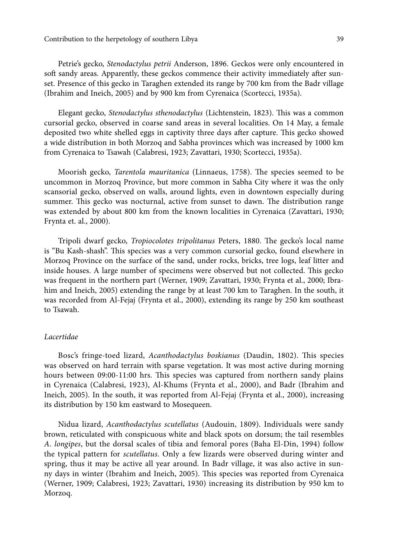Contribution to the herpetology of southern Libya 39

Petrie's gecko, *Stenodactylus petrii* Anderson, 1896. Geckos were only encountered in soft sandy areas. Apparently, these geckos commence their activity immediately after sunset. Presence of this gecko in Taraghen extended its range by 700 km from the Badr village (Ibrahim and Ineich, 2005) and by 900 km from Cyrenaica (Scortecci, 1935a).

Elegant gecko, *Stenodactylus sthenodactylus* (Lichtenstein, 1823). This was a common cursorial gecko, observed in coarse sand areas in several localities. On 14 May, a female deposited two white shelled eggs in captivity three days after capture. This gecko showed a wide distribution in both Morzoq and Sabha provinces which was increased by 1000 km from Cyrenaica to Tsawah (Calabresi, 1923; Zavattari, 1930; Scortecci, 1935a).

Moorish gecko, *Tarentola mauritanica* (Linnaeus, 1758). The species seemed to be uncommon in Morzoq Province, but more common in Sabha City where it was the only scansorial gecko, observed on walls, around lights, even in downtown especially during summer. This gecko was nocturnal, active from sunset to dawn. The distribution range was extended by about 800 km from the known localities in Cyrenaica (Zavattari, 1930; Frynta et. al., 2000).

Tripoli dwarf gecko, *Tropiocolotes tripolitanus* Peters, 1880. The gecko's local name is "Bu Kash-shash". This species was a very common cursorial gecko, found elsewhere in Morzoq Province on the surface of the sand, under rocks, bricks, tree logs, leaf litter and inside houses. A large number of specimens were observed but not collected. This gecko was frequent in the northern part (Werner, 1909; Zavattari, 1930; Frynta et al., 2000; Ibrahim and Ineich, 2005) extending the range by at least 700 km to Taraghen. In the south, it was recorded from Al-Fejaj (Frynta et al., 2000), extending its range by 250 km southeast to Tsawah.

## *Lacertidae*

Bosc's fringe-toed lizard, *Acanthodactylus boskianus* (Daudin, 1802). This species was observed on hard terrain with sparse vegetation. It was most active during morning hours between 09:00-11:00 hrs. This species was captured from northern sandy plains in Cyrenaica (Calabresi, 1923), Al-Khums (Frynta et al., 2000), and Badr (Ibrahim and Ineich, 2005). In the south, it was reported from Al-Fejaj (Frynta et al., 2000), increasing its distribution by 150 km eastward to Mosequeen.

Nidua lizard, *Acanthodactylus scutellatus* (Audouin, 1809). Individuals were sandy brown, reticulated with conspicuous white and black spots on dorsum; the tail resembles *A*. *longipes*, but the dorsal scales of tibia and femoral pores (Baha El-Din, 1994) follow the typical pattern for *scutellatus*. Only a few lizards were observed during winter and spring, thus it may be active all year around. In Badr village, it was also active in sunny days in winter (Ibrahim and Ineich, 2005). This species was reported from Cyrenaica (Werner, 1909; Calabresi, 1923; Zavattari, 1930) increasing its distribution by 950 km to Morzoq.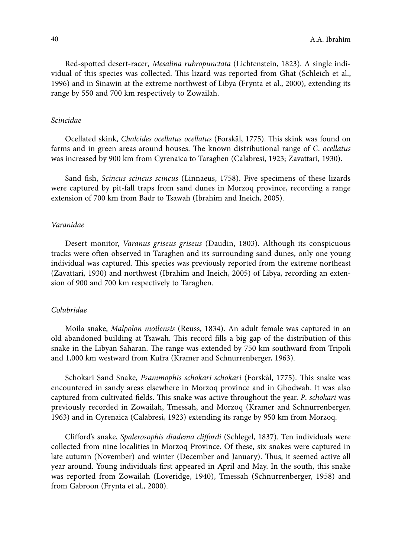Red-spotted desert-racer*, Mesalina rubropunctata* (Lichtenstein, 1823). A single individual of this species was collected. This lizard was reported from Ghat (Schleich et al., 1996) and in Sinawin at the extreme northwest of Libya (Frynta et al., 2000), extending its range by 550 and 700 km respectively to Zowailah.

## *Scincidae*

Ocellated skink, *Chalcides ocellatus ocellatus* (Forskål, 1775). This skink was found on farms and in green areas around houses. The known distributional range of *C*. *ocellatus* was increased by 900 km from Cyrenaica to Taraghen (Calabresi, 1923; Zavattari, 1930).

Sand fish, *Scincus scincus scincus* (Linnaeus, 1758). Five specimens of these lizards were captured by pit-fall traps from sand dunes in Morzoq province, recording a range extension of 700 km from Badr to Tsawah (Ibrahim and Ineich, 2005).

## *Varanidae*

Desert monitor, *Varanus griseus griseus* (Daudin, 1803). Although its conspicuous tracks were often observed in Taraghen and its surrounding sand dunes, only one young individual was captured. This species was previously reported from the extreme northeast (Zavattari, 1930) and northwest (Ibrahim and Ineich, 2005) of Libya, recording an extension of 900 and 700 km respectively to Taraghen.

## *Colubridae*

Moila snake, *Malpolon moilensis* (Reuss, 1834). An adult female was captured in an old abandoned building at Tsawah. This record fills a big gap of the distribution of this snake in the Libyan Saharan. The range was extended by 750 km southward from Tripoli and 1,000 km westward from Kufra (Kramer and Schnurrenberger, 1963).

Schokari Sand Snake, *Psammophis schokari schokari* (Forskål, 1775). This snake was encountered in sandy areas elsewhere in Morzoq province and in Ghodwah. It was also captured from cultivated fields. This snake was active throughout the year. *P*. *schokari* was previously recorded in Zowailah, Tmessah, and Morzoq (Kramer and Schnurrenberger, 1963) and in Cyrenaica (Calabresi, 1923) extending its range by 950 km from Morzoq.

Clifford's snake, *Spalerosophis diadema cliffordi* (Schlegel, 1837). Ten individuals were collected from nine localities in Morzoq Province. Of these, six snakes were captured in late autumn (November) and winter (December and January). Thus, it seemed active all year around. Young individuals first appeared in April and May. In the south, this snake was reported from Zowailah (Loveridge, 1940), Tmessah (Schnurrenberger, 1958) and from Gabroon (Frynta et al., 2000).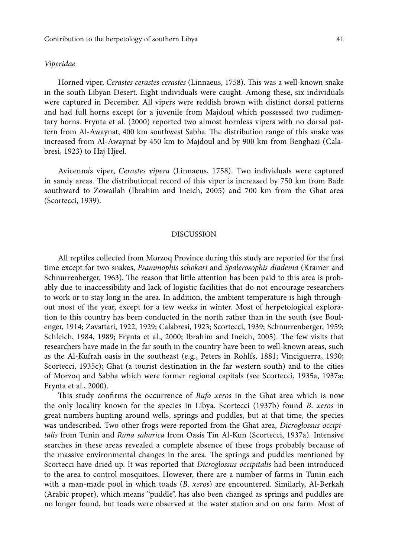## *Viperidae*

Horned viper, *Cerastes cerastes cerastes* (Linnaeus, 1758). This was a well-known snake in the south Libyan Desert. Eight individuals were caught. Among these, six individuals were captured in December. All vipers were reddish brown with distinct dorsal patterns and had full horns except for a juvenile from Majdoul which possessed two rudimentary horns. Frynta et al. (2000) reported two almost hornless vipers with no dorsal pattern from Al-Awaynat, 400 km southwest Sabha. The distribution range of this snake was increased from Al-Awaynat by 450 km to Majdoul and by 900 km from Benghazi (Calabresi, 1923) to Haj Hjeel.

Avicenna's viper, *Cerastes vipera* (Linnaeus, 1758). Two individuals were captured in sandy areas. The distributional record of this viper is increased by 750 km from Badr southward to Zowailah (Ibrahim and Ineich, 2005) and 700 km from the Ghat area (Scortecci, 1939).

#### Discussion

All reptiles collected from Morzoq Province during this study are reported for the first time except for two snakes, *Psammophis schokari* and *Spalerosophis diadema* (Kramer and Schnurrenberger, 1963). The reason that little attention has been paid to this area is probably due to inaccessibility and lack of logistic facilities that do not encourage researchers to work or to stay long in the area. In addition, the ambient temperature is high throughout most of the year, except for a few weeks in winter. Most of herpetological exploration to this country has been conducted in the north rather than in the south (see Boulenger, 1914; Zavattari, 1922, 1929; Calabresi, 1923; Scortecci, 1939; Schnurrenberger, 1959; Schleich, 1984, 1989; Frynta et al., 2000; Ibrahim and Ineich, 2005). The few visits that researchers have made in the far south in the country have been to well-known areas, such as the Al-Kufrah oasis in the southeast (e.g., Peters in Rohlfs, 1881; Vinciguerra, 1930; Scortecci, 1935c); Ghat (a tourist destination in the far western south) and to the cities of Morzoq and Sabha which were former regional capitals (see Scortecci, 1935a, 1937a; Frynta et al., 2000).

This study confirms the occurrence of *Bufo xeros* in the Ghat area which is now the only locality known for the species in Libya. Scortecci (1937b) found *B*. *xeros* in great numbers hunting around wells, springs and puddles, but at that time, the species was undescribed. Two other frogs were reported from the Ghat area, *Dicroglossus occipitalis* from Tunin and *Rana saharica* from Oasis Tin Al-Kun (Scortecci, 1937a). Intensive searches in these areas revealed a complete absence of these frogs probably because of the massive environmental changes in the area. The springs and puddles mentioned by Scortecci have dried up. It was reported that *Dicroglossus occipitalis* had been introduced to the area to control mosquitoes. However, there are a number of farms in Tunin each with a man-made pool in which toads (*B*. *xeros*) are encountered. Similarly, Al-Berkah (Arabic proper), which means "puddle", has also been changed as springs and puddles are no longer found, but toads were observed at the water station and on one farm. Most of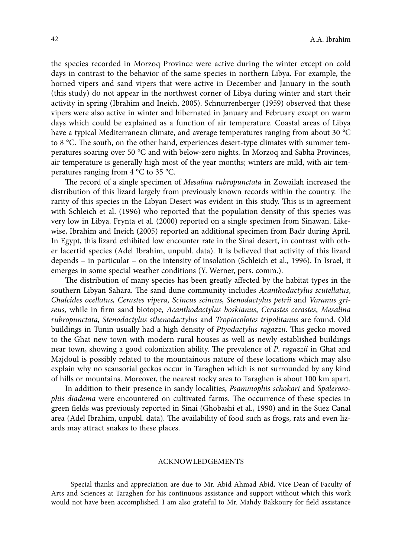the species recorded in Morzoq Province were active during the winter except on cold days in contrast to the behavior of the same species in northern Libya. For example, the horned vipers and sand vipers that were active in December and January in the south (this study) do not appear in the northwest corner of Libya during winter and start their activity in spring (Ibrahim and Ineich, 2005). Schnurrenberger (1959) observed that these vipers were also active in winter and hibernated in January and February except on warm days which could be explained as a function of air temperature. Coastal areas of Libya have a typical Mediterranean climate, and average temperatures ranging from about 30 °C to 8 °C. The south, on the other hand, experiences desert-type climates with summer temperatures soaring over 50 °C and with below-zero nights. In Morzoq and Sabha Provinces, air temperature is generally high most of the year months; winters are mild, with air temperatures ranging from 4 °C to 35 °C.

The record of a single specimen of *Mesalina rubropunctata* in Zowailah increased the distribution of this lizard largely from previously known records within the country. The rarity of this species in the Libyan Desert was evident in this study. This is in agreement with Schleich et al. (1996) who reported that the population density of this species was very low in Libya. Frynta et al. (2000) reported on a single specimen from Sinawan. Likewise, Ibrahim and Ineich (2005) reported an additional specimen from Badr during April. In Egypt, this lizard exhibited low encounter rate in the Sinai desert, in contrast with other lacertid species (Adel Ibrahim, unpubl. data). It is believed that activity of this lizard depends – in particular – on the intensity of insolation (Schleich et al., 1996). In Israel, it emerges in some special weather conditions (Y. Werner, pers. comm.).

The distribution of many species has been greatly affected by the habitat types in the southern Libyan Sahara. The sand dune community includes *Acanthodactylus scutellatus*, *Chalcides ocellatus, Cerastes vipera, Scincus scincus*, *Stenodactylus petrii* and *Varanus griseus,* while in firm sand biotope, *Acanthodactylus boskianus*, *Cerastes cerastes*, *Mesalina rubropunctata, Stenodactylus sthenodactylus* and *Tropiocolotes tripolitanus* are found. Old buildings in Tunin usually had a high density of *Ptyodactylus ragazzii*. This gecko moved to the Ghat new town with modern rural houses as well as newly established buildings near town, showing a good colonization ability. The prevalence of *P*. *ragazzii* in Ghat and Majdoul is possibly related to the mountainous nature of these locations which may also explain why no scansorial geckos occur in Taraghen which is not surrounded by any kind of hills or mountains. Moreover, the nearest rocky area to Taraghen is about 100 km apart.

In addition to their presence in sandy localities, *Psammophis schokari* and *Spalerosophis diadema* were encountered on cultivated farms. The occurrence of these species in green fields was previously reported in Sinai (Ghobashi et al., 1990) and in the Suez Canal area (Adel Ibrahim, unpubl. data). The availability of food such as frogs, rats and even lizards may attract snakes to these places.

## **ACKNOWLEDGEMENTS**

Special thanks and appreciation are due to Mr. Abid Ahmad Abid, Vice Dean of Faculty of Arts and Sciences at Taraghen for his continuous assistance and support without which this work would not have been accomplished. I am also grateful to Mr. Mahdy Bakkoury for field assistance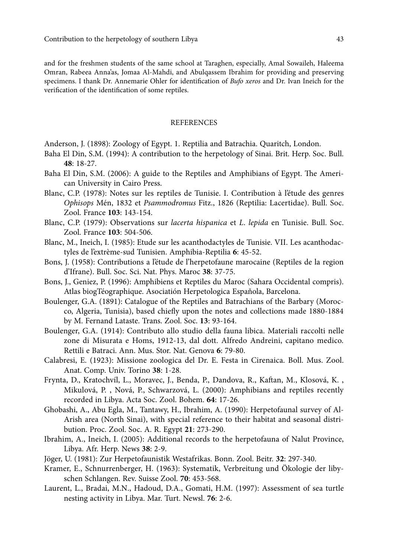and for the freshmen students of the same school at Taraghen, especially, Amal Sowaileh, Haleema Omran, Rabeea Anna'as, Jomaa Al-Mahdi, and Abulqassem Ibrahim for providing and preserving specimens. I thank Dr. Annemarie Ohler for identification of *Bufo xeros* and Dr. Ivan Ineich for the verification of the identification of some reptiles.

# **REFERENCES**

Anderson, J. (1898): Zoology of Egypt. 1. Reptilia and Batrachia. Quaritch, London.

- Baha El Din, S.M. (1994): A contribution to the herpetology of Sinai. Brit. Herp. Soc. Bull. **48**: 18-27.
- Baha El Din, S.M. (2006): A guide to the Reptiles and Amphibians of Egypt. The American University in Cairo Press.
- Blanc, C.P. (1978): Notes sur les reptiles de Tunisie. I. Contribution à l'étude des genres *Ophisops* Mén, 1832 et *Psammodromus* Fitz., 1826 (Reptilia: Lacertidae). Bull. Soc. Zool. France **103**: 143-154.
- Blanc, C.P. (1979): Observations sur *lacerta hispanica* et *L*. *lepida* en Tunisie. Bull. Soc. Zool. France **103**: 504-506.
- Blanc, M., Ineich, I. (1985): Etude sur les acanthodactyles de Tunisie. VII. Les acanthodactyles de l'extrème-sud Tunisien. Amphibia-Reptilia **6**: 45-52.
- Bons, J. (1958): Contributions a l'étude de l'herpetofaune marocaine (Reptiles de la region d'Ifrane). Bull. Soc. Sci. Nat. Phys. Maroc **38**: 37-75.
- Bons, J., Geniez, P. (1996): Amphibiens et Reptiles du Maroc (Sahara Occidental compris). Atlas biogTéographique. Asociatión Herpetologica Espaňola, Barcelona.
- Boulenger, G.A. (1891): Catalogue of the Reptiles and Batrachians of the Barbary (Morocco, Algeria, Tunisia), based chiefly upon the notes and collections made 1880-1884 by M. Fernand Lataste. Trans. Zool. Soc. **13**: 93-164.
- Boulenger, G.A. (1914): Contributo allo studio della fauna libica. Materiali raccolti nelle zone di Misurata e Homs, 1912-13, dal dott. Alfredo Andreini, capitano medico. Rettili e Batraci. Ann. Mus. Stor. Nat. Genova **6**: 79-80.
- Calabresi, E. (1923): Missione zoologica del Dr. E. Festa in Cirenaica. Boll. Mus. Zool. Anat. Comp. Univ. Torino **38**: 1-28.
- Frynta, D., Kratochvíl, L., Moravec, J., Benda, P., Dandova, R., Kaftan, M., Klosová, K. , Mikulová, P. , Nová, P., Schwarzová, L. (2000): Amphibians and reptiles recently recorded in Libya. Acta Soc. Zool. Bohem. **64**: 17-26.
- Ghobashi, A., Abu Egla, M., Tantawy, H., Ibrahim, A. (1990): Herpetofaunal survey of Al-Arish area (North Sinai), with special reference to their habitat and seasonal distribution. Proc. Zool. Soc. A. R. Egypt **21**: 273-290.
- Ibrahim, A., Ineich, I. (2005): Additional records to the herpetofauna of Nalut Province, Libya. Afr. Herp. News **38**: 2-9.
- Jöger, U. (1981): Zur Herpetofaunistik Westafrikas. Bonn. Zool. Beitr. **32**: 297-340.
- Kramer, E., Schnurrenberger, H. (1963): Systematik, Verbreitung und Ökologie der libyschen Schlangen. Rev. Suisse Zool. **70**: 453-568.
- Laurent, L., Bradai, M.N., Hadoud, D.A., Gomati, H.M. (1997): Assessment of sea turtle nesting activity in Libya. Mar. Turt. Newsl. **76**: 2-6.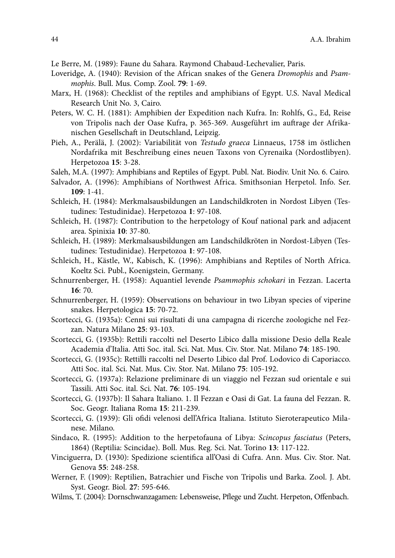- Le Berre, M. (1989): Faune du Sahara. Raymond Chabaud-Lechevalier, Paris.
- Loveridge, A. (1940): Revision of the African snakes of the Genera *Dromophis* and *Psammophis*. Bull. Mus. Comp. Zool. **79**: 1-69.
- Marx, H. (1968): Checklist of the reptiles and amphibians of Egypt. U.S. Naval Medical Research Unit No. 3, Cairo.
- Peters, W. C. H. (1881): Amphibien der Expedition nach Kufra. In: Rohlfs, G., Ed, Reise von Tripolis nach der Oase Kufra, p. 365-369. Ausgeführt im auftrage der Afrikanischen Gesellschaft in Deutschland, Leipzig.
- Pieh, A., Perälä, J. (2002): Variabilität von *Testudo graeca* Linnaeus, 1758 im östlichen Nordafrika mit Beschreibung eines neuen Taxons von Cyrenaika (Nordostlibyen). Herpetozoa **15**: 3-28.
- Saleh, M.A. (1997): Amphibians and Reptiles of Egypt. Publ. Nat. Biodiv. Unit No. 6. Cairo.
- Salvador, A. (1996): Amphibians of Northwest Africa. Smithsonian Herpetol. Info. Ser. **109**: 1-41.
- Schleich, H. (1984): Merkmalsausbildungen an Landschildkroten in Nordost Libyen (Testudines: Testudinidae). Herpetozoa **1**: 97-108.
- Schleich, H. (1987): Contribution to the herpetology of Kouf national park and adjacent area. Spinixia **10**: 37-80.
- Schleich, H. (1989): Merkmalsausbildungen am Landschildkröten in Nordost-Libyen (Testudines: Testudinidae). Herpetozoa **1**: 97-108.
- Schleich, H., Kästle, W., Kabisch, K. (1996): Amphibians and Reptiles of North Africa. Koeltz Sci. Publ., Koenigstein, Germany.
- Schnurrenberger, H. (1958): Aquantiel levende *Psammophis schokari* in Fezzan. Lacerta **16**: 70.
- Schnurrenberger, H. (1959): Observations on behaviour in two Libyan species of viperine snakes. Herpetologica **15**: 70-72.
- Scortecci, G. (1935a): Cenni sui risultati di una campagna di ricerche zoologiche nel Fezzan. Natura Milano **25**: 93-103.
- Scortecci, G. (1935b): Rettili raccolti nel Deserto Libico dalla missione Desio della Reale Academia d'Italia. Atti Soc. ital. Sci. Nat. Mus. Civ. Stor. Nat. Milano **74**: 185-190.
- Scortecci, G. (1935c): Rettilli raccolti nel Deserto Libico dal Prof. Lodovico di Caporiacco. Atti Soc. ital. Sci. Nat. Mus. Civ. Stor. Nat. Milano **75**: 105-192.
- Scortecci, G. (1937a): Relazione preliminare di un viaggio nel Fezzan sud orientale e sui Tassili. Atti Soc. ital. Sci. Nat. **76**: 105-194.
- Scortecci, G. (1937b): Il Sahara Italiano. 1. Il Fezzan e Oasi di Gat. La fauna del Fezzan. R. Soc. Geogr. Italiana Roma **15**: 211-239.
- Scortecci, G. (1939): Gli ofidi velenosi dell'Africa Italiana. Istituto Sieroterapeutico Milanese. Milano.
- Sindaco, R. (1995): Addition to the herpetofauna of Libya: *Scincopus fasciatus* (Peters, 1864) (Reptilia: Scincidae). Boll. Mus. Reg. Sci. Nat. Torino **13**: 117-122.
- Vinciguerra, D. (1930): Spedizione scientifica all'Oasi di Cufra. Ann. Mus. Civ. Stor. Nat. Genova **55**: 248-258.
- Werner, F. (1909): Reptilien, Batrachier und Fische von Tripolis und Barka. Zool. J. Abt. Syst. Geogr. Biol. **27**: 595-646.
- Wilms, T. (2004): Dornschwanzagamen: Lebensweise, Pflege und Zucht. Herpeton, Offenbach.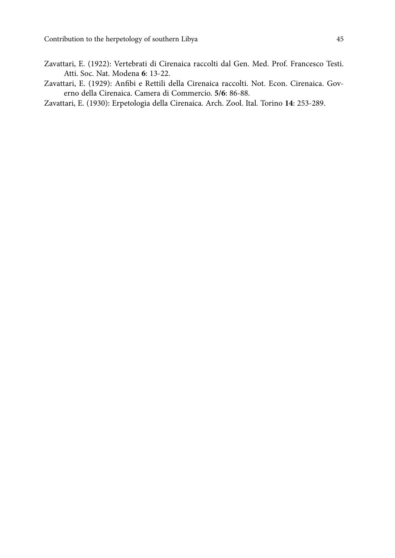- Zavattari, E. (1922): Vertebrati di Cirenaica raccolti dal Gen. Med. Prof. Francesco Testi. Atti. Soc. Nat. Modena **6**: 13-22.
- Zavattari, E. (1929): Anfibi e Rettili della Cirenaica raccolti. Not. Econ. Cirenaica. Governo della Cirenaica. Camera di Commercio. **5/6**: 86-88.
- Zavattari, E. (1930): Erpetologia della Cirenaica. Arch. Zool. Ital. Torino **14**: 253-289.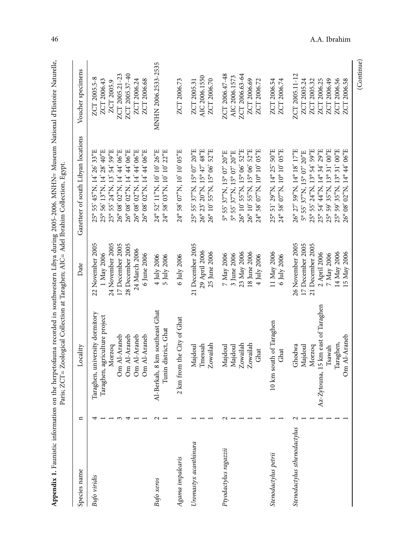| Species name                 | $\mathbf{a}$ | Paris; ZCT= Zoological Collection at Taraghen; AIC= Adel Ibrahim Collection, Egypt<br>Locality | Date                       | Gazetteer of south Libyan locations                      | Voucher specimens   |
|------------------------------|--------------|------------------------------------------------------------------------------------------------|----------------------------|----------------------------------------------------------|---------------------|
|                              |              |                                                                                                |                            |                                                          |                     |
| Bufo viridis                 |              | Taraghen, university dormitory                                                                 | 22 November 2005           | 25° 55' 45"N, 14° 26' 33"E                               | ZCT 2005.5-8        |
|                              |              | Taraghen, agriculture project                                                                  | 1 May 2006                 | 25° 56' 13"N, 14° 28' 40"E                               | ZCT 2006.43         |
|                              |              | Morzoq                                                                                         | 24 November 2005           | 25° 55' 24"N, 13° 54' 59"E                               | ZCT 2005.9          |
|                              |              | Om Al-Araneb                                                                                   | 17 December 2005           | 26° 08' 02"N, 14° 44' 06"E                               | ZCT 2005.21-23      |
|                              |              | Om Al-Araneb                                                                                   | 28 December 2005           | 26° 08' 02"N, 14° 44' 06"E                               | ZCT 2005.37-40      |
|                              |              | Om Al-Araneb                                                                                   | 24 March 2006              | 26° 08' 02"N, 14° 44' 06"E                               | ZCT 2006.24         |
|                              |              | Om Al-Araneb                                                                                   | 6 June 2006                | 26° 08' 02"N, 14° 44' 06"E                               | ZCT 2006.68         |
| Bufo xeros                   |              | Al-Berkah, 8 km southeast Ghat<br>Tunin district, Ghat                                         | 4 July 2006<br>5 July 2006 | 24° 52' 11"N, 10" 10' 26"E<br>24° 58' 03"N, 10" 10' 22"E | MNHN 2006.2533-2535 |
| Agama impalearis             |              | 2 km from the City of Ghat                                                                     | 6 July 2006                | 24° 58' 07"N, 10" 10' 05"E                               | ZCT 2006.73         |
| Uromastyx acanthinura        |              | Majdoul                                                                                        | 21 December 2005           | 25° 55' 37"N, 15° 07' 20"E                               | ZCT 2005.31         |
|                              |              | Tmessah                                                                                        | 29 April 2006              | 26° 23' 20"N, 15° 47' 48"E                               | AIC 2006.1550       |
|                              |              | Zowailah                                                                                       | 25 June 2006               | 26° 10' 55"N, 15° 06' 52"E                               | ZCT 2006.70         |
| Ptyodactylus ragazzii        |              | Majdoul                                                                                        | 7 May 2006                 | 5° 55' 37"N, 15° 07' 20"E                                | ZCT 2006.47-48      |
|                              |              | Majdoul                                                                                        | 3 June 2006                | 5° 55' 37"N, 15° 07' 20"E                                | AIC 2006.1573       |
|                              |              | Zowailah                                                                                       | 23 May 2006                | 26° 10' 55"N, 15° 06' 52"E                               | ZCT 2006.63-64      |
|                              |              | Zowailah                                                                                       | 18 June 2006               | 26° 10' 55"N, 15° 06' 52"E                               | ZCT 2006.69         |
|                              |              | Ghat                                                                                           | 4 July 2006                | 24° 58' 07"N, 10° 10' 05"E                               | ZCT 2006.72         |
| Stenodactylus petrii         |              | 10 km south of Taraghen                                                                        | 11 May 2006                | 25° 51' 29"N, 14° 25' 50"E                               | ZCT 2006.54         |
|                              |              | Ghat                                                                                           | 6 July 2006                | 24° 58' 07"N, 10° 10' 05"E                               | ZCT 2006.74         |
| Stenodactylus sthenodactylus |              | Ghodwa                                                                                         | 26 November 2005           | 26° 27' 59"N, 14° 18' 17"E                               | ZCT 2005.11-12      |
|                              |              | Majdoul                                                                                        | 17 December 2005           | 5° 55' 37"N, 15° 07' 20"E                                | ZCT 2005.24         |
|                              |              | Morzoq                                                                                         | 21 December 2005           | 25° 55' 24"N, 13° 54' 59"E                               | ZCT 2005.32         |
|                              |              | Az-Zytouna, 15 km east of Taraghen                                                             | 2 April 2006               | 25° 54' 44"N, 14° 34' 29"E                               | ZCT 2006.25         |
|                              |              | Tsawah                                                                                         | 7 May 2006                 | 25° 59' 35"N, 13° 31' 00"E                               | ZCT 2006.49         |
|                              |              | Taraghen,                                                                                      | 14 May 2006                | 25° 59' 35"N, 13° 31' 00"E                               | ZCT 2006.56         |
|                              |              | Om Al-Araneb                                                                                   | 15 May 2006                | $26^{\circ}$ 08' 02"N, 14° 44' 06"E                      | ZCT 2006.58         |
|                              |              |                                                                                                |                            |                                                          | (Continue)          |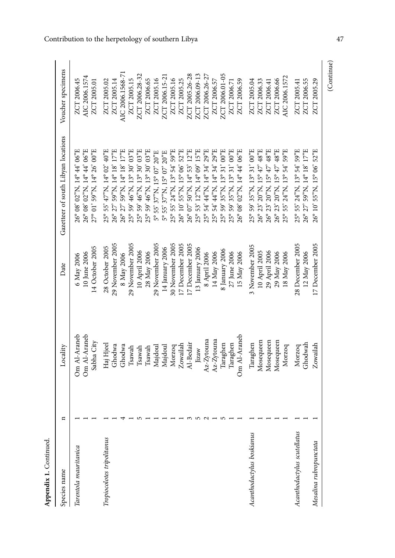| Species name                                          | $\mathbf{a}$ | Locality                                                                                                                | Date                                                                                                                                                                           | Gazetteer of south Libyan locations                                                                                                                                                                                                                                                                                                                                   | Voucher specimens                                                                                                                                                 |
|-------------------------------------------------------|--------------|-------------------------------------------------------------------------------------------------------------------------|--------------------------------------------------------------------------------------------------------------------------------------------------------------------------------|-----------------------------------------------------------------------------------------------------------------------------------------------------------------------------------------------------------------------------------------------------------------------------------------------------------------------------------------------------------------------|-------------------------------------------------------------------------------------------------------------------------------------------------------------------|
| Tarentola mauritanica                                 |              | Om Al-Araneb<br>Om Al-Araneb<br>Sabha City                                                                              | 14 October 2005<br>10 June 2006<br>6 May 2006                                                                                                                                  | $26^{\circ}$ 08' 02"N, 14° 44' 06"E<br>27° 01' 59"N, 14° 26' 00"E<br>26° 08' 02"N, 14° 44' 06"E                                                                                                                                                                                                                                                                       | AIC 2006.1574<br>ZCT 2006.45<br>ZCT 2005.01                                                                                                                       |
| Tropiocolotes tripolitanus                            |              | Haj Hjeel<br>Ghodwa<br>Ghodwa<br>Isawah<br>Isawah<br>Tsawah<br>Majdou                                                   | 29 November 2005<br>29 November 2005<br>29 November 2005<br>28 October 2005<br>10 April 2006<br>28 May 2006<br>8 May 2006                                                      | 26° 27' 59"N, 14° 18' 17"E<br>59' 46"N, 13° 30' 03"E<br>59' 46"N, 13° 30' 03"E<br>$25^{\circ}$ 55' $47^{\circ}$ N, 14° 02' 40"E<br>26° 27' 59"N, 14° 18' 17"E<br>25° 59' 46"N, 13° 30' 03"E<br>5° 55' 37"N, 15° 07' 20"E<br>$25^{\circ}$<br>$25^{\circ}$                                                                                                              | AIC 2006.1568-71<br>ZCT 2006.28-32<br>ZCT 2005.15<br>ZCT 2005.14<br>ZCT 2006.65<br>ZCT 2005.16<br>ZCT 2005.02                                                     |
|                                                       |              | Om Al-Araneb<br>Az-Zytouna<br>Az-Zytouna<br>Al-Bedair<br>Taraghen<br>Taraghen<br>Zowailah<br>Majdoul<br>Morzoq<br>Jizaw | 17 December 2005<br>30 November 2005<br>17 December 2005<br>14 January 2006<br>13 January 2006<br>8 January 2006<br>27 June 2006<br>14 May 2006<br>15 May 2006<br>8 April 2006 | 25° 55' 24"N, 13° 54' 59"E<br>26° 10' 55"N, 15° 06' 52"E<br>53' 12"N, 14° 09' 15"E<br>54' 44"N, 14° 34' 29"E<br>54' 44"N, 14' 34' 29"E<br>$26^{\circ}$ 08' 02"N, 14° 44' 06"E<br>26° 07' 50"N, 14° 53' 12"E<br>59' 35"N, 13° 31' 00"E<br>$25^{\circ}$ 59' 35"N, 13° 31' 00"E<br>5° 55' 37"N, 15° 07' 20"E<br>$25^\circ$<br>$25^\circ$<br>$25^{\circ}$<br>$25^{\circ}$ | ZCT 2005.26-28<br>ZCT 2006.01-05<br>ZCT 2006.09-13<br>ZCT 2006.26-27<br>ZCT 2006.15-21<br>ZCT 2005.25<br>ZCT 2005.16<br>ZCT 2006.59<br>ZCT 2006.57<br>ZCT 2006.71 |
| Acanthodactylus boskianus                             |              | Mosequeen<br>Mosequeen<br>Mosequeen<br>Taraghen<br>Morzoq                                                               | 3 November 2005<br>29 April 2006<br>10 April 2005<br>29 May 2006<br>18 May 2006                                                                                                | 25° 59' 35"N, 13° 31' 00"E<br>55' 24"N, 13° 54' 59"E<br>26° 23' 20"N, 15° 47' 48"E<br>26° 23' 20"N, 15° 47' 48"E<br>$26^{\circ} 23' 20''$ N, $15^{\circ} 47' 48''$ E<br>$25^{\circ}$                                                                                                                                                                                  | AIC 2006.1572<br>ZCT 2006.66<br>ZCT 2005.04<br>ZCT 2006.33<br>ZCT 2006.41                                                                                         |
| Acanthodactylus scutellatus<br>Mesalina rubropunctata |              | Ghodwah<br>Zowailah<br>Morzoq                                                                                           | 28 December 2005<br>17 December 2005<br>12 May 2006                                                                                                                            | 25° 55' 24"N, 13° 54' 59"E<br>26° 27' 59"N, 14° 18' 17"E<br>26° 10' 55"N, 15° 06' 52"E                                                                                                                                                                                                                                                                                | ZCT 2006.55<br>ZCT 2005.29<br>ZCT 2005.41                                                                                                                         |
|                                                       |              |                                                                                                                         |                                                                                                                                                                                |                                                                                                                                                                                                                                                                                                                                                                       | (Continue)                                                                                                                                                        |

Appendix 1. Continued. Continued. **Appendix 1.**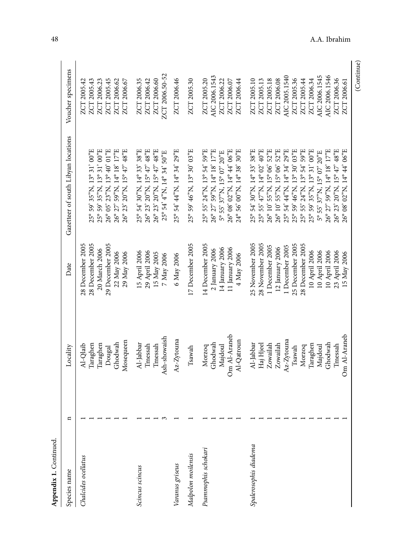| Species name                          | $\mathbf{a}$ | Locality                                                                                                                                         | Date                                                                                                                                                                                                                     | Gazetteer of south Libyan locations                                                                                                                                                                                                                                                                                                                                                                 | Voucher specimens                                                                                                                                                                      |
|---------------------------------------|--------------|--------------------------------------------------------------------------------------------------------------------------------------------------|--------------------------------------------------------------------------------------------------------------------------------------------------------------------------------------------------------------------------|-----------------------------------------------------------------------------------------------------------------------------------------------------------------------------------------------------------------------------------------------------------------------------------------------------------------------------------------------------------------------------------------------------|----------------------------------------------------------------------------------------------------------------------------------------------------------------------------------------|
| Chalcides ocellatus                   |              | Mosequeen<br>Ghodwah<br>Taraghen<br>Iaraghen<br>Al-Qlaib<br>Dougal                                                                               | 28 December 2005<br>28 December 2005<br>29 December 2005<br>20 March 2006<br>22 May 2006<br>29 May 2006                                                                                                                  | 25° 59' 35"N, 13° 31' 00"E<br>25° 59' 35"N, 13° 31' 00"E<br>$26^{\circ}$ 05' $23^{\circ}$ N, 13° 40' 01 $^{\circ}$ E<br>59"N, 14° 18' 17"E<br>$20^{9}$ N, 15° 47' 48 <sup>9</sup> E<br>$26^{\circ} 23^{\circ}$<br>$26^{\circ} 27^{\circ}$                                                                                                                                                           | ZCT 2005.43<br>ZCT 2005.45<br>ZCT 2006.62<br>ZCT 2006.23<br>ZCT 2006.67<br>ZCT 2005.42                                                                                                 |
| Scincus scincus                       |              | Ash-showaish<br>Al-Jabbar<br>Tmessah<br>Tmessah                                                                                                  | 29 April 2006<br>15 April 2006<br>15 May 2005<br>7 May 2006                                                                                                                                                              | 25° 54' 30"N, 14° 33' 38"E<br>26° 23' 20"N, 15° 47' 48"E<br>26° 23' 20"N, 15° 47' 48"E<br>25° 54' 4"N, 14° 34' 50"E                                                                                                                                                                                                                                                                                 | ZCT 2006.50-52<br>ZCT 2006.60<br>ZCT 2006.35<br>ZCT 2006.42                                                                                                                            |
| Malpolon moilensis<br>Varanus griseus |              | Az-Zytouna<br>Tsawah                                                                                                                             | 17 December 2005<br>6 May 2006                                                                                                                                                                                           | 25° 54' 44"N, 14° 34' 29"E<br>25° 59' 46"N, 13° 30' 03"E                                                                                                                                                                                                                                                                                                                                            | ZCT 2006.46<br>ZCT 2005.30                                                                                                                                                             |
| Psammophis schokari                   |              | Om Al-Araneb<br>Al-Qatroun<br>Ghodwah<br>Majdoul<br>Morzoq                                                                                       | 14 December 2005<br>11 January 2006<br>14 January 2006<br>2 January 2006<br>4 May 2006                                                                                                                                   | 25° 55' 24"N, 13° 54' 59"E<br>26° 27' 59"N, 14° 18' 17"E<br>26° 08' 02"N, 14° 44' 06"E<br>$24^{\circ}$ 56' 00"N, 14° 38' 30"E<br>5° 55' 37"N, 15° 07' 20"E                                                                                                                                                                                                                                          | AIC 2006.1543<br>ZCT 2005.20<br>ZCT 2006.22<br>ZCT 2006.44<br>ZCT 2006.07                                                                                                              |
| Spalerosophis diadema                 |              | Om Al-Araneb<br>$Az-Zy$ touna<br>Ghodwah<br>Al-Jabbar<br>Haj Hjeel<br>Zowailah<br>Zowailah<br>Taraghen<br>Tmessah<br>Majdoul<br>Morzoq<br>Tsawah | 25 December 2005<br>28 December 2005<br>25 November 2005<br>28 November 2005<br>1 December 2005<br>1 December 2005<br>12 January 2006<br>10 April 2006<br>10 April 2006<br>10 April 2006<br>23 April 2006<br>15 May 2006 | 26° 10' 55"N, 15° 06' 52"E<br>25° 54' 44"N, 14° 34' 29"E<br>25° 55' 24"N, 13° 54' 59"E<br>26° 23' 20"N, 15° 47' 48"E<br>25° 54' 30"N, 14° 33' 38"E<br>25° 55' 47"N, 14° 02' 40"E<br>26° 10' 55"N, 15° 06' 52"E<br>25° 59' 46"N, 13° 30' 03"E<br>25° 59' 35"N, 13° 31' 00"E<br>26° 27' 59"N, 14° 18' 17"E<br>$02^{\circ}$ N, 14 $^{\circ}$ 44' 06"E<br>5° 55' 37"N, 15° 07' 20"E<br>$26^{\circ} 08'$ | AIC 2006.1545<br>AIC 2005.1540<br>AIC 2006.1546<br>ZCT 2005.18<br>ZCT 2006.08<br>ZCT 2005.36<br>ZCT 2005.44<br>ZCT 2006.34<br>ZCT 2006.36<br>ZCT 2005.10<br>ZCT 2005.13<br>ZCT 2006.61 |
|                                       |              |                                                                                                                                                  |                                                                                                                                                                                                                          |                                                                                                                                                                                                                                                                                                                                                                                                     | (Continue)                                                                                                                                                                             |